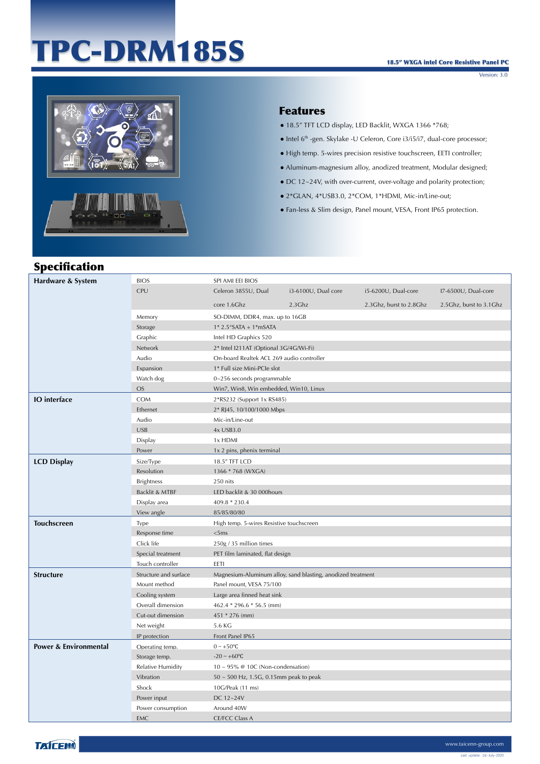# TPC-DRM185S



#### Features

- 18.5" TFT LCD display, LED Backlit, WXGA 1366 \*768;
- Intel 6th -gen. Skylake -U Celeron, Core i3/i5/i7, dual-core processor;
- High temp. 5-wires precision resistive touchscreen, EETI controller;
- Aluminum-magnesium alloy, anodized treatment, Modular designed;
- DC 12~24V, with over-current, over-voltage and polarity protection;
- 2\*GLAN, 4\*USB3.0, 2\*COM, 1\*HDMI, Mic-in/Line-out;
- Fan-less & Slim design, Panel mount, VESA, Front IP65 protection.

| <b>Specification</b>  |                       |                                                                                     |                                                             |                         |                         |
|-----------------------|-----------------------|-------------------------------------------------------------------------------------|-------------------------------------------------------------|-------------------------|-------------------------|
| Hardware & System     | <b>BIOS</b>           | SPI AMI EEI BIOS                                                                    |                                                             |                         |                         |
|                       | CPU                   | Celeron 3855U, Dual                                                                 | i3-6100U, Dual core                                         | i5-6200U, Dual-core     | I7-6500U, Dual-core     |
|                       |                       | core 1.6Ghz                                                                         | $2.3$ Ghz                                                   | 2.3Ghz, burst to 2.8Ghz | 2.5Ghz, burst to 3.1Ghz |
|                       |                       |                                                                                     |                                                             |                         |                         |
|                       | Memory                | SO-DIMM, DDR4, max. up to 16GB                                                      |                                                             |                         |                         |
|                       | Storage               | $1* 2.5$ "SATA + $1*$ mSATA                                                         |                                                             |                         |                         |
|                       | Graphic               | Intel HD Graphics 520                                                               |                                                             |                         |                         |
|                       | Network<br>Audio      | 2* Intel I211AT (Optional 3G/4G/Wi-Fi)<br>On-board Realtek ACL 269 audio controller |                                                             |                         |                         |
|                       | Expansion             | 1* Full size Mini-PCIe slot                                                         |                                                             |                         |                         |
|                       | Watch dog             | $0 - 256$ seconds programmable                                                      |                                                             |                         |                         |
|                       | <b>OS</b>             | Win7, Win8, Win embedded, Win10, Linux                                              |                                                             |                         |                         |
| <b>IO</b> interface   | <b>COM</b>            | 2*RS232 (Support 1x RS485)                                                          |                                                             |                         |                         |
|                       | Ethernet              | 2* RJ45, 10/100/1000 Mbps                                                           |                                                             |                         |                         |
|                       | Audio                 | Mic-in/Line-out                                                                     |                                                             |                         |                         |
|                       | <b>USB</b>            | 4x USB3.0                                                                           |                                                             |                         |                         |
|                       | Display               | 1x HDMI                                                                             |                                                             |                         |                         |
|                       | Power                 | 1x 2 pins, phenix terminal                                                          |                                                             |                         |                         |
| <b>LCD Display</b>    | Size/Type             | 18.5" TFT LCD                                                                       |                                                             |                         |                         |
|                       | Resolution            | 1366 * 768 (WXGA)                                                                   |                                                             |                         |                         |
|                       | <b>Brightness</b>     | 250 nits                                                                            |                                                             |                         |                         |
|                       | Backlit & MTBF        | LED backlit & 30 000 hours                                                          |                                                             |                         |                         |
|                       | Display area          | 409.8 * 230.4                                                                       |                                                             |                         |                         |
|                       | View angle            | 85/85/80/80                                                                         |                                                             |                         |                         |
| <b>Touchscreen</b>    | Type                  | High temp. 5-wires Resistive touchscreen                                            |                                                             |                         |                         |
|                       | Response time         | <5ms                                                                                |                                                             |                         |                         |
|                       | Click life            | 250g / 35 million times                                                             |                                                             |                         |                         |
|                       | Special treatment     | PET film laminated, flat design                                                     |                                                             |                         |                         |
|                       | Touch controller      | EETI                                                                                |                                                             |                         |                         |
| <b>Structure</b>      | Structure and surface |                                                                                     | Magnesium-Aluminum alloy, sand blasting, anodized treatment |                         |                         |
|                       | Mount method          | Panel mount, VESA 75/100                                                            |                                                             |                         |                         |
|                       | Cooling system        | Large area finned heat sink                                                         |                                                             |                         |                         |
|                       | Overall dimension     | 462.4 * 296.6 * 56.5 (mm)                                                           |                                                             |                         |                         |
|                       | Cut-out dimension     | 451 * 276 (mm)                                                                      |                                                             |                         |                         |
|                       | Net weight            | 5.6 KG                                                                              |                                                             |                         |                         |
|                       | IP protection         | Front Panel IP65                                                                    |                                                             |                         |                         |
| Power & Environmental | Operating temp.       | $0 \sim +50$ °C                                                                     |                                                             |                         |                         |
|                       | Storage temp.         | $-20 \sim +60$ °C                                                                   |                                                             |                         |                         |
|                       | Relative Humidity     | $10 \sim 95\%$ @ 10C (Non-condensation)                                             |                                                             |                         |                         |
|                       | Vibration             | 50 ~ 500 Hz, 1.5G, 0.15mm peak to peak                                              |                                                             |                         |                         |
|                       | Shock                 | 10G/Peak (11 ms)                                                                    |                                                             |                         |                         |
|                       | Power input           | DC 12~24V                                                                           |                                                             |                         |                         |
|                       | Power consumption     | Around 40W                                                                          |                                                             |                         |                         |
|                       | <b>EMC</b>            | <b>CE/FCC Class A</b>                                                               |                                                             |                         |                         |